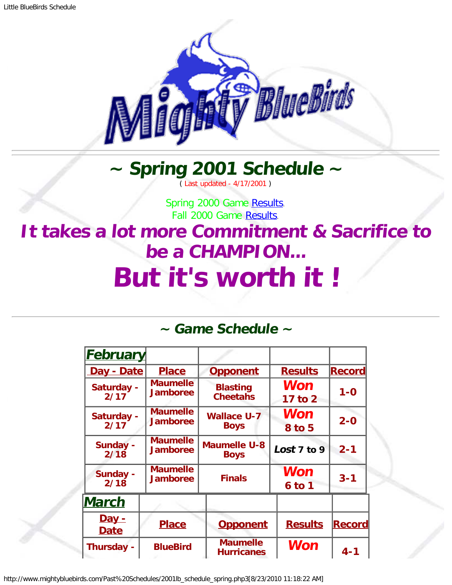

## **~ Spring 2001 Schedule ~**

( Last updated - 4/17/2001 )

Spring 2000 Game [Results.](http://www.mightybluebirds.com/Past%20Schedules/2000lb_schedule_spring.php3) Fall 2000 Game [Results.](http://www.mightybluebirds.com/Past%20Schedules/2000lb_schedule_fall.php3)

## <span id="page-0-0"></span>**It takes a lot more Commitment & Sacrifice to be a CHAMPION... But it's worth it !**

## **~ Game Schedule ~**

| <b>February</b>             |                                    |                                      |                        |               |
|-----------------------------|------------------------------------|--------------------------------------|------------------------|---------------|
| Day - Date                  | <b>Place</b>                       | <b>Results</b><br><b>Opponent</b>    |                        | <b>Record</b> |
| Saturday -<br>2/17          | <b>Maumelle</b><br><b>Jamboree</b> | <b>Blasting</b><br><b>Cheetahs</b>   | Won<br>17 to 2         |               |
| Saturday -<br>2/17          | <b>Maumelle</b><br><b>Jamboree</b> | <b>Wallace U-7</b><br><b>Boys</b>    | Won<br><b>8 to 5</b>   | $2 - 0$       |
| Sunday -<br>2/18            | <b>Maumelle</b><br><b>Jamboree</b> | <b>Maumelle U-8</b><br><b>Boys</b>   | Lost $7$ to $9$        | $2 - 1$       |
| <b>Sunday -</b><br>2/18     | <b>Maumelle</b><br><b>Jamboree</b> | <b>Finals</b>                        | <b>Won</b><br>$6$ to 1 | $3 - 1$       |
| <b>March</b>                |                                    |                                      |                        |               |
| <u>Day -</u><br><b>Date</b> | <b>Place</b>                       | <b>Opponent</b>                      | <b>Results</b>         | <b>Record</b> |
| Thursday -                  | <b>BlueBird</b>                    | <b>Maumelle</b><br><b>Hurricanes</b> | <b>Won</b>             | $4 - 1$       |

http://www.mightybluebirds.com/Past%20Schedules/2001lb\_schedule\_spring.php3[8/23/2010 11:18:22 AM]